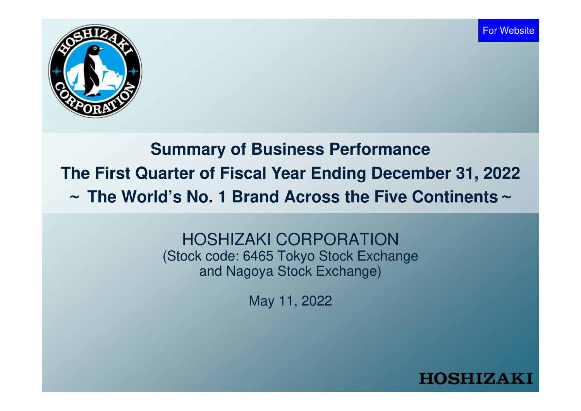

# **Summary of Business PerformanceThe First Quarter of Fiscal Year Ending December 31, 2022**~ **The World's No. 1 Brand Across the Five Continents** ~

HOSHIZAKI CORPORATION(Stock code: 6465 Tokyo Stock Exchange and Nagoya Stock Exchange)

May 11, 2022

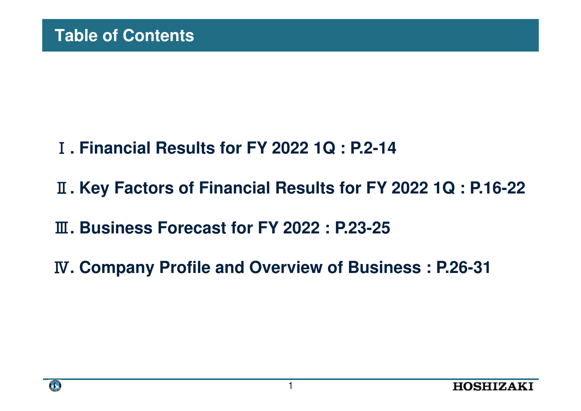- **. Financial Results for FY 2022 1Q : P.2-14**
- **. Key Factors of Financial Results for FY 2022 1Q : P.16-22**
- **. Business Forecast for FY 2022 : P.23-25**
- **. Company Profile and Overview of Business : P.26-31**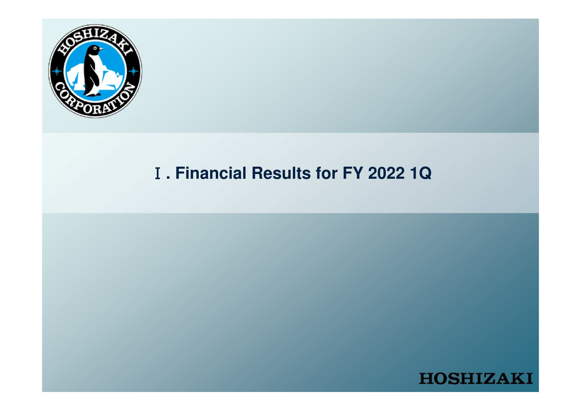

# **. Financial Results for FY 2022 1Q**

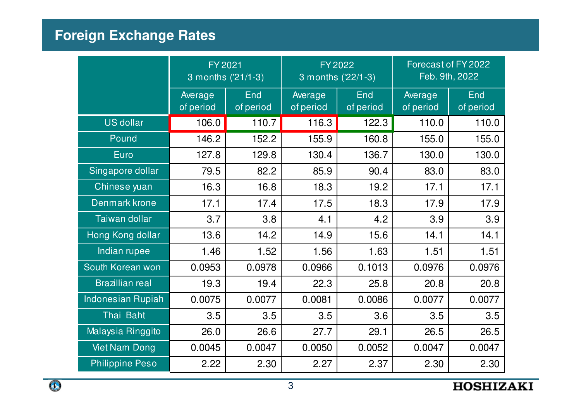# **Foreign Exchange Rates**

|                          | FY 2021<br>3 months ('21/1-3) |                  |                      | FY 2022<br>3 months ('22/1-3) | Forecast of FY 2022<br>Feb. 9th, 2022 |                  |  |
|--------------------------|-------------------------------|------------------|----------------------|-------------------------------|---------------------------------------|------------------|--|
|                          | Average<br>of period          | End<br>of period | Average<br>of period | End<br>of period              | Average<br>of period                  | End<br>of period |  |
| <b>US dollar</b>         | 106.0                         | 110.7            | 116.3                | 122.3                         | 110.0                                 | 110.0            |  |
| Pound                    | 146.2                         | 152.2            | 155.9                | 160.8                         | 155.0                                 | 155.0            |  |
| <b>Euro</b>              | 127.8                         | 129.8            | 130.4                | 136.7                         | 130.0                                 | 130.0            |  |
| Singapore dollar         | 79.5                          | 82.2             | 85.9                 | 90.4                          | 83.0                                  | 83.0             |  |
| Chinese yuan             | 16.3                          | 16.8             | 18.3                 | 19.2                          | 17.1                                  | 17.1             |  |
| Denmark krone            | 17.1                          | 17.4             | 17.5                 | 18.3                          | 17.9                                  | 17.9             |  |
| Taiwan dollar            | 3.7                           | 3.8              | 4.1                  | 4.2                           | 3.9                                   | 3.9              |  |
| Hong Kong dollar         | 13.6                          | 14.2             | 14.9                 | 15.6                          | 14.1                                  | 14.1             |  |
| Indian rupee             | 1.46                          | 1.52             | 1.56                 | 1.63                          | 1.51                                  | 1.51             |  |
| South Korean won         | 0.0953                        | 0.0978           | 0.0966               | 0.1013                        | 0.0976                                | 0.0976           |  |
| <b>Brazillian real</b>   | 19.3                          | 19.4             | 22.3                 | 25.8                          | 20.8                                  | 20.8             |  |
| <b>Indonesian Rupiah</b> | 0.0075                        | 0.0077           | 0.0081               | 0.0086                        | 0.0077                                | 0.0077           |  |
| Thai Baht                | 3.5                           | 3.5              | 3.5                  | 3.6                           | 3.5                                   | 3.5              |  |
| Malaysia Ringgito        | 26.0                          | 26.6             | 27.7                 | 29.1                          | 26.5                                  | 26.5             |  |
| <b>Viet Nam Dong</b>     | 0.0045                        | 0.0047           | 0.0050               | 0.0052                        | 0.0047                                | 0.0047           |  |
| <b>Philippine Peso</b>   | 2.22                          | 2.30             | 2.27                 | 2.37                          | 2.30                                  | 2.30             |  |

 $\bullet$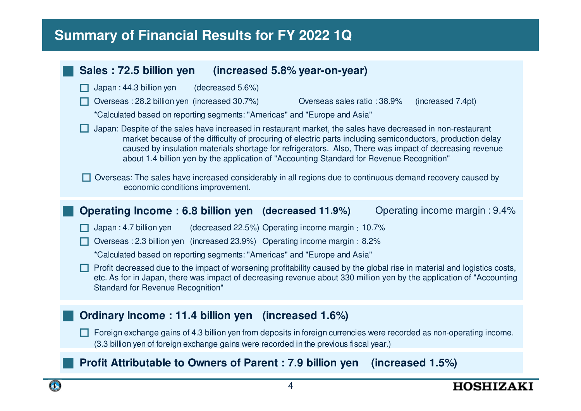# **2022 Summary of Financial Results for FY 2022 1Q**

#### ■**Sales : 72.5 billion yen** (increased 5.8% year-on-year)<br>□ Japan : 44.3 billion yen (decreased 5.6%)  $\Box$  Japan: 44.3 billion ven □ Japan : 44.3 billion yen (decreased 5.6%)<br>□ Overseas : 28.2 billion yen (increased 30.7%) Overseas : 28.2 billion yen (increased 30.7%) Overseas sales ratio : 38.9% (increased 7.4pt) \*Calculated based on reporting segments: "Americas" and "Europe and Asia" $\Box$  Japan: Despite of the sales have increased in restaurant market, the sales have decreased in non-restaurant □Overseas: The sales have increased considerably in all regions due to continuous demand recovery caused by ■**Operating Income : 6.8 billion yen (decreased 11.9%)** Operating income margin : 9.4%<br>
□ Japan : 4.7 billion yen (decreased 22.5%) Operating income margin : 10.7% □(decreased 22.5%) Operating income margin:  $10.7%$ □ Overseas : 2.3 billion yen (increased 23.9%) Operating income margin:8.2% \*Calculated based on reporting segments: "Americas" and "Europe and Asia" $\Box$  Profit decreased due to the impact of worsening profitability caused by the global rise in material and logistics costs, ■ **Ordinary Income : 11.4 billion yen (increased 1.6%)** □ Foreign exchange gains of 4.3 billion yen from deposits in foreign currencies were recorded as non-operating income.<br>(3.3 billion ven of foreign exchange gains were recorded in the previous fiscal vear.) (3.3 billion yen of foreign exchange gains were recorded in the previous fiscal year.)■ **Profit Attributable to Owners of Parent : 7.9 billion yen (increased 1.5%)** market because of the difficulty of procuring of electric parts including semiconductors, production delay caused by insulation materials shortage for refrigerators. Also, There was impact of decreasing revenue about 1.4 billion yen by the application of "Accounting Standard for Revenue Recognition"economic conditions improvement. etc. As for in Japan, there was impact of decreasing revenue about 330 million yen by the application of "AccountingStandard for Revenue Recognition"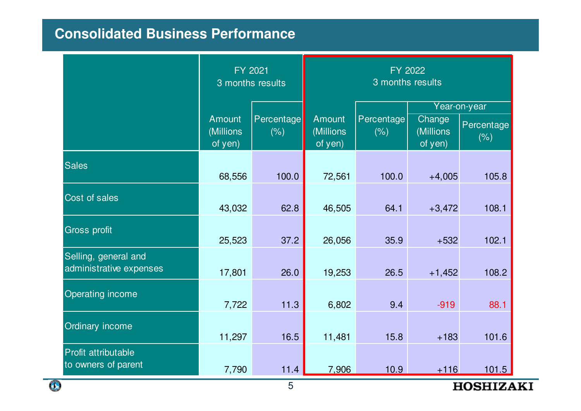# 連結損益計算書**Consolidated Business Performance**

|                                                 | FY 2021<br>3 months results           |                    | FY 2022<br>3 months results           |                    |                                |                                    |  |  |
|-------------------------------------------------|---------------------------------------|--------------------|---------------------------------------|--------------------|--------------------------------|------------------------------------|--|--|
|                                                 | <b>Amount</b><br>(Millions<br>of yen) | Percentage<br>(% ) | <b>Amount</b><br>(Millions<br>of yen) | Percentage<br>(% ) | Change<br>(Millions<br>of yen) | Year-on-year<br>Percentage<br>(% ) |  |  |
| <b>Sales</b>                                    | 68,556                                | 100.0              | 72,561                                | 100.0              | $+4,005$                       | 105.8                              |  |  |
| Cost of sales                                   | 43,032                                | 62.8               | 46,505                                | 64.1               | $+3,472$                       | 108.1                              |  |  |
| <b>Gross profit</b>                             | 25,523                                | 37.2               | 26,056                                | 35.9               | $+532$                         | 102.1                              |  |  |
| Selling, general and<br>administrative expenses | 17,801                                | 26.0               | 19,253                                | 26.5               | $+1,452$                       | 108.2                              |  |  |
| Operating income                                | 7,722                                 | 11.3               | 6,802                                 | 9.4                | $-919$                         | 88.1                               |  |  |
| Ordinary income                                 | 11,297                                | 16.5               | 11,481                                | 15.8               | $+183$                         | 101.6                              |  |  |
| Profit attributable<br>to owners of parent      | 7,790                                 | 11.4               | 7,906                                 | 10.9               | $+116$                         | 101.5                              |  |  |

Œ

**HOSHIZAKI**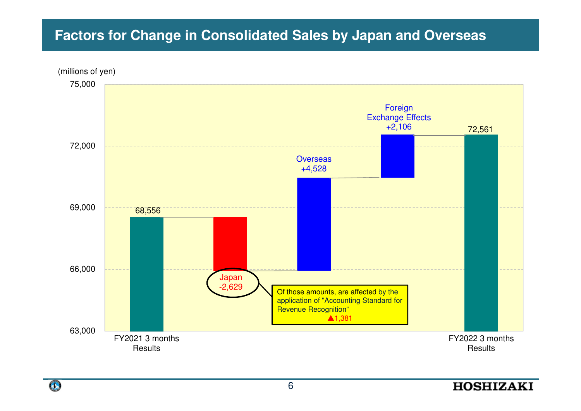# **Factors for Change in Consolidated Sales by Japan and Overseas**



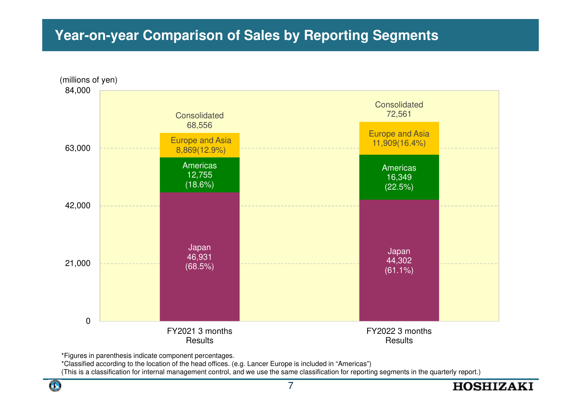## **Year-on-year Comparison of Sales by Reporting Segments**



\*Figures in parenthesis indicate component percentages.

\*Classified according to the location of the head offices. (e.g. Lancer Europe is included in "Americas")

(This is a classification for internal management control, and we use the same classification for reporting segments in the quarterly report.)

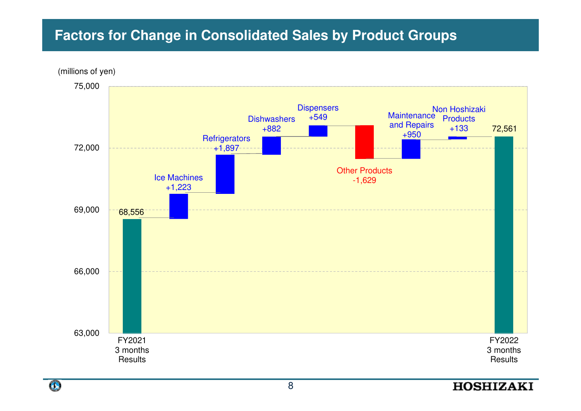# **Factors for Change in Consolidated Sales by Product Groups**



 $\bullet$ 

8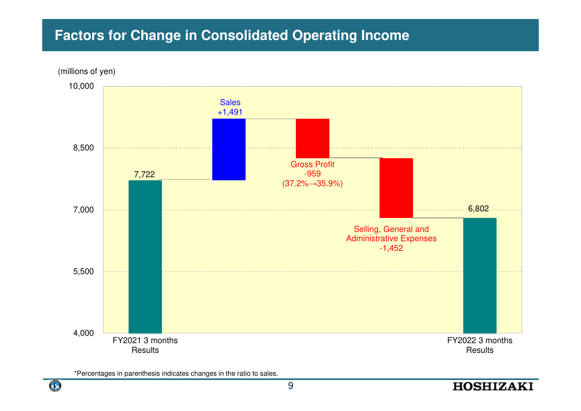## **Factors for Change in Consolidated Operating Income**



\*Percentages in parenthesis indicates changes in the ratio to sales.

**HOSHIZAKI**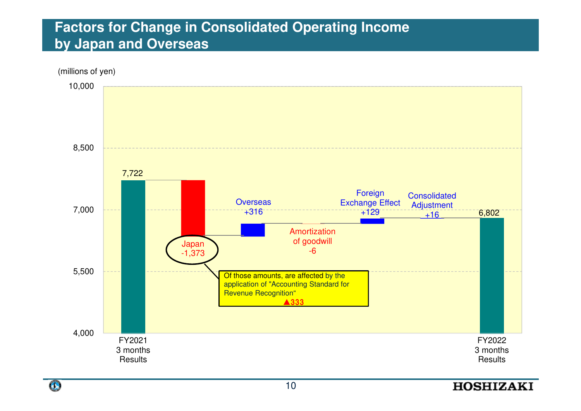## **Factors for Change in Consolidated Operating Incomeby Japan and Overseas**



10

 $\mathbf{G}$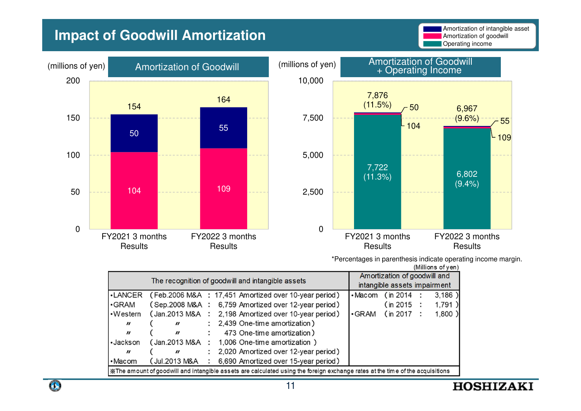## **Impact of Goodwill Amortization**





\*Percentages in parenthesis indicate operating income margin.

| (Millions of yen) |  |
|-------------------|--|
|                   |  |

| The recognition of goodwill and intangible assets                                                                              |                             |                      |                                                       |               | Amortization of goodwill and<br>intangible assets impairment |  |       |  |
|--------------------------------------------------------------------------------------------------------------------------------|-----------------------------|----------------------|-------------------------------------------------------|---------------|--------------------------------------------------------------|--|-------|--|
| •LANCER                                                                                                                        |                             |                      | (Feb.2006 M&A : 17,451 Amortized over 10-year period) | $\cdot$ Macom | (in 2014 :                                                   |  | 3,186 |  |
| $\cdot$ GRAM                                                                                                                   |                             |                      | (Sep.2008 M&A : 6,759 Amortized over 12-year period)  |               | (in 2015 :                                                   |  | 1,791 |  |
| $\cdot$ Western                                                                                                                |                             |                      | (Jan.2013 M&A : 2,198 Amortized over 10-year period)  | $\cdot$ GRAM  | (in 2017 :                                                   |  | 1,800 |  |
| $\boldsymbol{\prime\prime}$                                                                                                    | $\boldsymbol{\prime\prime}$ |                      | 2,439 One-time amortization)                          |               |                                                              |  |       |  |
| $\boldsymbol{\prime\prime}$                                                                                                    | $\boldsymbol{\prime\prime}$ |                      | 473 One-time amortization)                            |               |                                                              |  |       |  |
| •Jackson                                                                                                                       | (Jan.2013 M&A               | $\ddot{\cdot}$       | 1,006 One-time amortization )                         |               |                                                              |  |       |  |
| $\boldsymbol{\prime\prime}$                                                                                                    | $\boldsymbol{\prime\prime}$ | $\ddot{\phantom{0}}$ | 2,020 Amortized over 12-year period)                  |               |                                                              |  |       |  |
| $\cdot$ Macom                                                                                                                  | (Jul.2013 M&A               | $\ddot{\phantom{0}}$ | 6,690 Amortized over 15-year period)                  |               |                                                              |  |       |  |
| X The amount of goodwill and intangible assets are calculated using the foreign exchange rates at the time of the acquisitions |                             |                      |                                                       |               |                                                              |  |       |  |

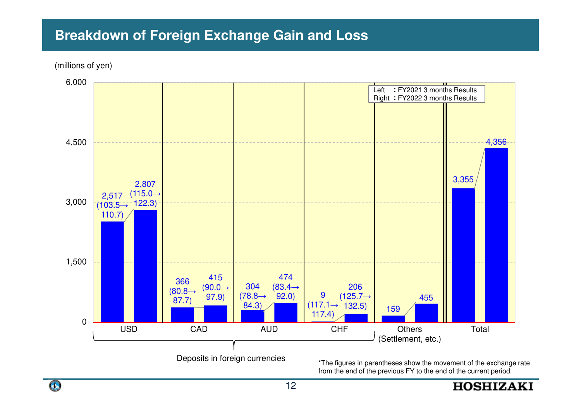## **Breakdown of Foreign Exchange Gain and Loss**

(millions of yen)



Deposits in foreign currencies

 \*The figures in parentheses show the movement of the exchange rate from the end of the previous FY to the end of the current period.

**HOSHIZAKI** 

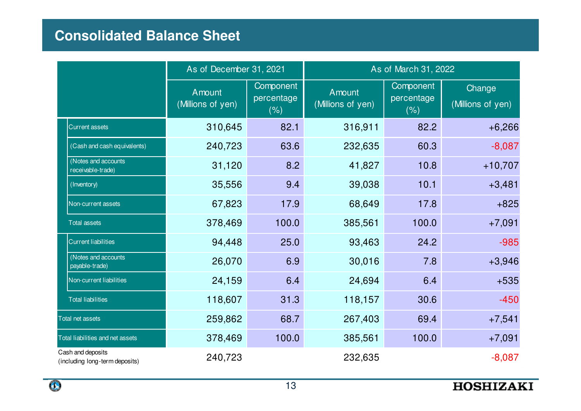# **Consolidated Balance Sheet**

|                                                     | As of December 31, 2021     |                                 | As of March 31, 2022        |                                 |                             |  |  |
|-----------------------------------------------------|-----------------------------|---------------------------------|-----------------------------|---------------------------------|-----------------------------|--|--|
|                                                     | Amount<br>(Millions of yen) | Component<br>percentage<br>(% ) | Amount<br>(Millions of yen) | Component<br>percentage<br>(% ) | Change<br>(Millions of yen) |  |  |
| <b>Current assets</b>                               | 310,645                     | 82.1                            | 316,911                     | 82.2                            | $+6,266$                    |  |  |
| (Cash and cash equivalents)                         | 240,723                     | 63.6                            | 232,635                     | 60.3                            | $-8,087$                    |  |  |
| (Notes and accounts)<br>receivable-trade)           | 31,120                      | 8.2                             | 41,827                      | 10.8                            | $+10,707$                   |  |  |
| (Inventory)                                         | 35,556                      | 9.4                             | 39,038                      | 10.1                            | $+3,481$                    |  |  |
| Non-current assets                                  | 67,823                      | 17.9                            | 68,649                      | 17.8                            | $+825$                      |  |  |
| <b>Total assets</b>                                 | 378,469                     | 100.0                           | 385,561                     | 100.0                           | $+7,091$                    |  |  |
| <b>Current liabilities</b>                          | 94,448                      | 25.0                            | 93,463                      | 24.2                            | $-985$                      |  |  |
| (Notes and accounts<br>payable-trade)               | 26,070                      | 6.9                             | 30,016                      | 7.8                             | $+3,946$                    |  |  |
| Non-current liabilities                             | 24,159                      | 6.4                             | 24,694                      | 6.4                             | $+535$                      |  |  |
| <b>Total liabilities</b>                            | 118,607                     | 31.3                            | 118,157                     | 30.6                            | $-450$                      |  |  |
| <b>Total net assets</b>                             | 259,862                     | 68.7                            | 267,403                     | 69.4                            | $+7,541$                    |  |  |
| Total liabilities and net assets                    | 378,469                     | 100.0                           | 385,561                     | 100.0                           | $+7,091$                    |  |  |
| Cash and deposits<br>(including long-term deposits) | 240,723                     |                                 | 232,635                     |                                 | $-8,087$                    |  |  |

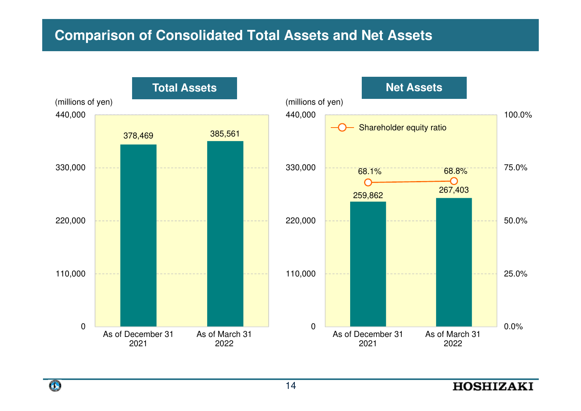## **Comparison of Consolidated Total Assets and Net Assets**



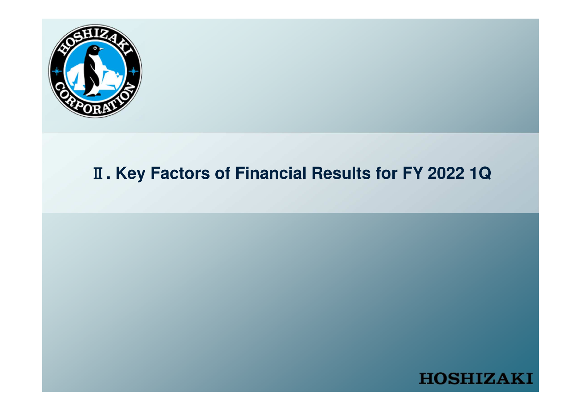

# **. Key Factors of Financial Results for FY 2022 1Q**

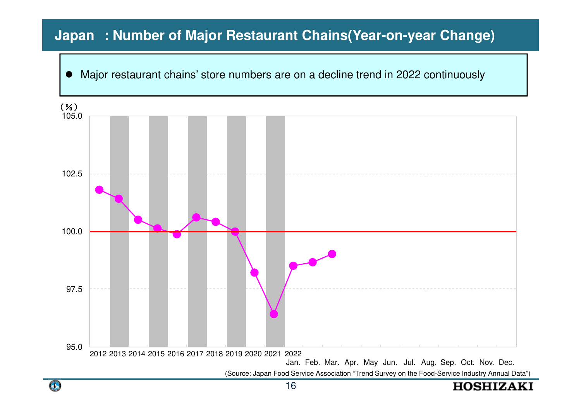# Japan : Number of Major Restaurant Chains(Year-on-year Change)<br>|-

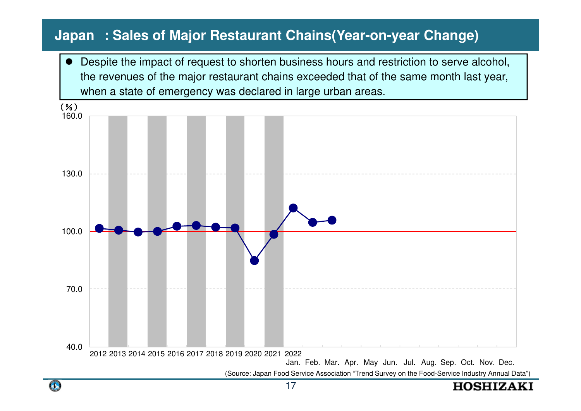# Japan : Sales of Major Restaurant Chains(Year-on-year Change)<br>
The Sales of Major Restaurant Chains(Year-on-year Change)

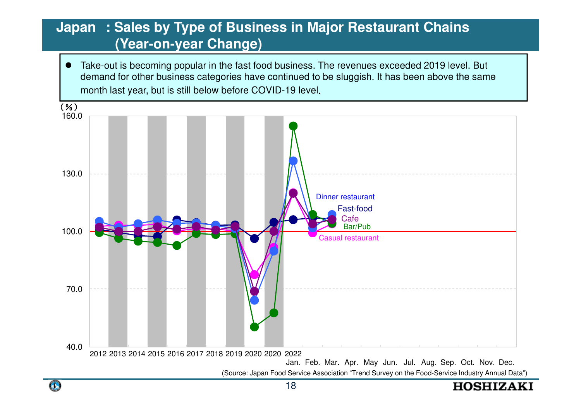#### apan : Sales by Type of Business in Major Restaurant Chains<br>(Year-on-year Change) **Japan : Sales by Type of Business in Major Restaurant Chains(Year-on-year Change)**

0 Take-out is becoming popular in the fast food business. The revenues exceeded 2019 level. But demand for other business categories have continued to be sluggish. It has been above the same month last year, but is still below before COVID-19 level.



**HOSHIZAKI**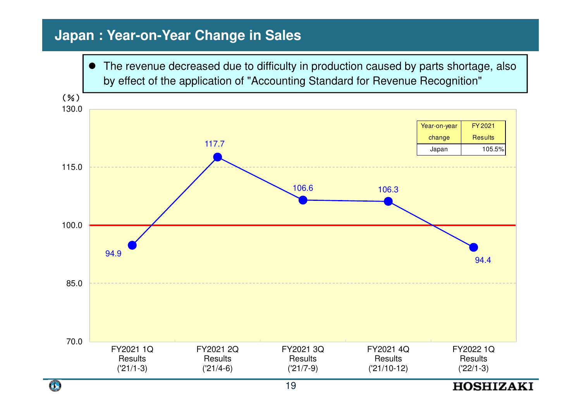## **Japan : Year-on-Year Change in Sales**



 $\bullet$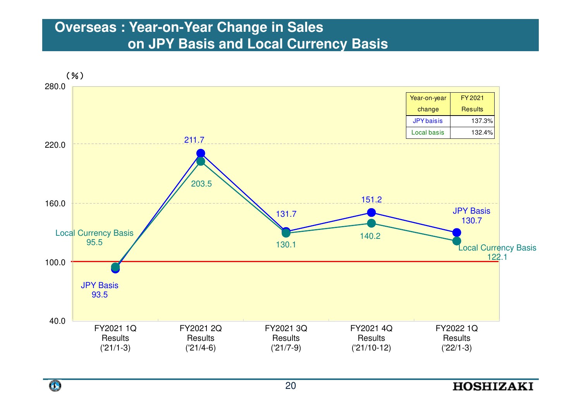# Overseas. Tear-Oir rear Onlange in Jaies<br>An IDV Bacic and Loool Curronov **Overseas : Year-on-Year Change in Sales on JPY Basis and Local Currency Basis**





#### **HOSHIZAKI**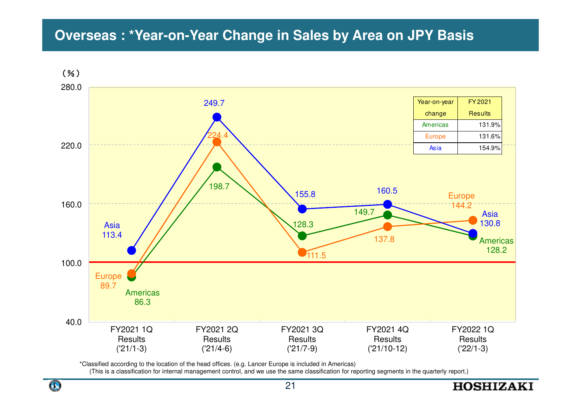# **Overseas : \*Year-on-Year Change in Sales by Area on JPY Basis**



\*Classified according to the location of the head offices. (e.g. Lancer Europe is included in Americas)

(This is a classification for internal management control, and we use the same classification for reporting segments in the quarterly report.)

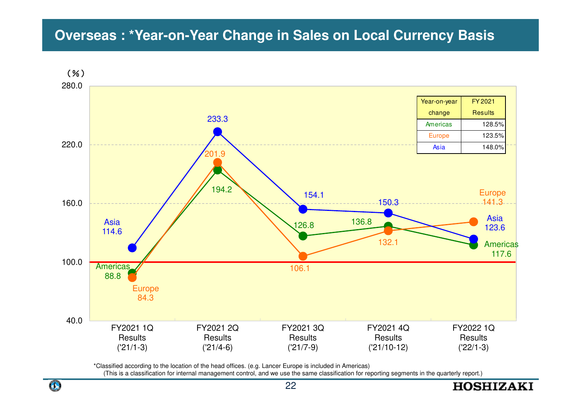# **Overseas : \*Year-on-Year Change in Sales on Local Currency Basis**



\*Classified according to the location of the head offices. (e.g. Lancer Europe is included in Americas)

(This is a classification for internal management control, and we use the same classification for reporting segments in the quarterly report.)



**HOSHIZAKI**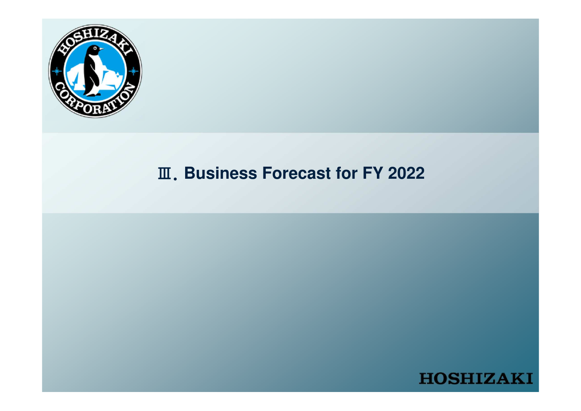

# Ⅲ.**Business Forecast for FY 2022**

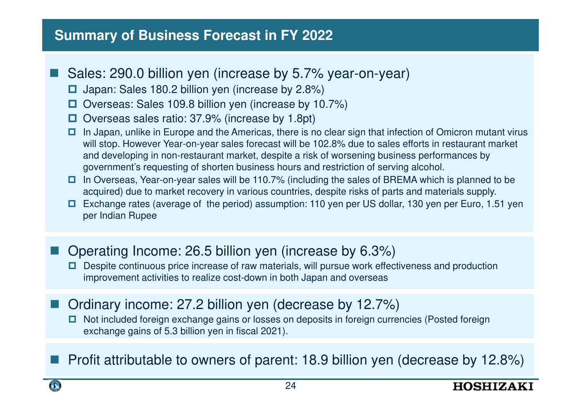### **Summary of Business Forecast in FY 2022**

- **Contract Contract Contract Contract Contract Contract Contract Contract Contract Contract Contract Contract C**  Sales: 290.0 billion yen (increase by 5.7% year-on-year)
	- □ Japan: Sales 180.2 billion yen (increase by 2.8%)
	- Overseas: Sales 109.8 billion yen (increase by 10.7%)
	- Overseas sales ratio: 37.9% (increase by 1.8pt)
	- In Japan, unlike in Europe and the Americas, there is no clear sign that infection of Omicron mutant virus<br>Will step, However Year on vear sales forecast will be 102.8% due to sales effects in restaurant market will stop. However Year-on-year sales forecast will be 102.8% due to sales efforts in restaurant market and developing in non-restaurant market, despite a risk of worsening business performances by government's requesting of shorten business hours and restriction of serving alcohol.
	- $\Box$  In Overseas, Year-on-year sales will be 110.7% (including the sales of BREMA which is planned to be acquired) due to market recovery in various countries, despite risks of parts and materials supply acquired) due to market recovery in various countries, despite risks of parts and materials supply.
	- Exchange rates (average of the period) assumption: 110 yen per US dollar, 130 yen per Euro, 1.51 yen<br>nor ladian Bunee per Indian Rupee
- Operating Income: 26.5 billion yen (increase by 6.3%)
	- Despite continuous price increase of raw materials, will pursue work effectiveness and production<br>improvement activities to realize cest dewn in both Japan and eversoes. improvement activities to realize cost-down in both Japan and overseas
- Ordinary income: 27.2 billion yen (decrease by 12.7%)
	- □ Not included foreign exchange gains or losses on deposits in foreign currencies (Posted foreign aver animation was in fiscal 2021) exchange gains of 5.3 billion yen in fiscal 2021).
- **Profit attributable to owners of parent: 18.9 billion yen (decrease by 12.8%)**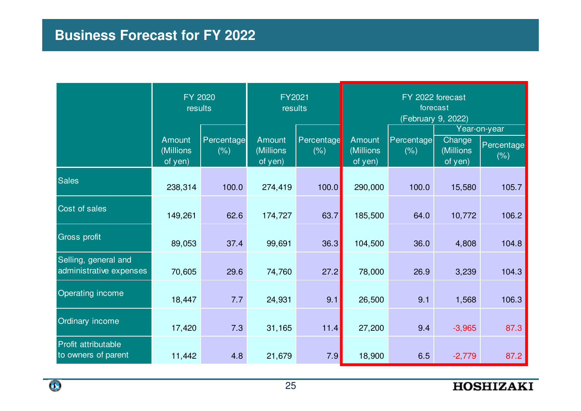# **Business Forecast for FY 2022**

|                                                 | FY 2020<br>results             |                    | FY2021<br>results              |                    | FY 2022 forecast<br>forecast<br>(February 9, 2022) |                    |                                 |                                    |  |
|-------------------------------------------------|--------------------------------|--------------------|--------------------------------|--------------------|----------------------------------------------------|--------------------|---------------------------------|------------------------------------|--|
|                                                 | Amount<br>(Millions<br>of yen) | Percentage<br>(% ) | Amount<br>(Millions<br>of yen) | Percentage<br>(% ) | <b>Amount</b><br>(Millions<br>of yen)              | Percentage<br>(% ) | Change<br>(Millions)<br>of yen) | Year-on-year<br>Percentage<br>(% ) |  |
| <b>Sales</b>                                    | 238,314                        | 100.0              | 274,419                        | 100.0              | 290,000                                            | 100.0              | 15,580                          | 105.7                              |  |
| Cost of sales                                   | 149,261                        | 62.6               | 174,727                        | 63.7               | 185,500                                            | 64.0               | 10,772                          | 106.2                              |  |
| <b>Gross profit</b>                             | 89,053                         | 37.4               | 99,691                         | 36.3               | 104,500                                            | 36.0               | 4,808                           | 104.8                              |  |
| Selling, general and<br>administrative expenses | 70,605                         | 29.6               | 74,760                         | 27.2               | 78,000                                             | 26.9               | 3,239                           | 104.3                              |  |
| Operating income                                | 18,447                         | 7.7                | 24,931                         | 9.1                | 26,500                                             | 9.1                | 1,568                           | 106.3                              |  |
| Ordinary income                                 | 17,420                         | 7.3                | 31,165                         | 11.4               | 27,200                                             | 9.4                | $-3,965$                        | 87.3                               |  |
| Profit attributable<br>to owners of parent      | 11,442                         | 4.8                | 21,679                         | 7.9                | 18,900                                             | 6.5                | $-2,779$                        | 87.2                               |  |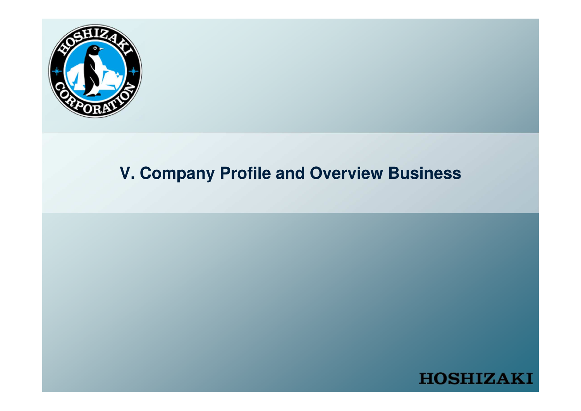

# **V. Company Profile and Overview Business**

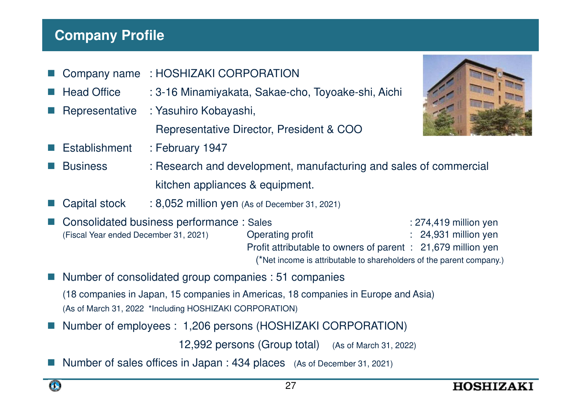## **Company Profile**

- m. Company name : HOSHIZAKI CORPORATION
- L. Head Office : 3-16 Minamiyakata, Sakae-cho, Toyoake-shi, Aichi
- L. Representative : Yasuhiro Kobayashi,

Representative Director, President & COO

Establishment : February 1947



- Business : Research and development, manufacturing and sales of commercial kitchen appliances & equipment.
- Capital stock : 8,052 million yen (As of December 31, 2021)
- L. Consolidated business performance : Sales : 274,419 million yen<br>
(Fiscal Year ended December 31, 2021) Operating profit : 24,931 million yen (Fiscal Year ended December 31, 2021) $: 24,931$  million yen Profit attributable to owners of parent : 21,679 million yen(\*Net income is attributable to shareholders of the parent company.)
- Number of consolidated group companies : 51 companies (18 companies in Japan, 15 companies in Americas, 18 companies in Europe and Asia)(As of March 31, 2022 \*Including HOSHIZAKI CORPORATION)
- Number of employees : 1,206 persons (HOSHIZAKI CORPORATION)

12,992 persons (Group total) (As of March 31, 2022)

Number of sales offices in Japan : 434 places (As of December 31, 2021)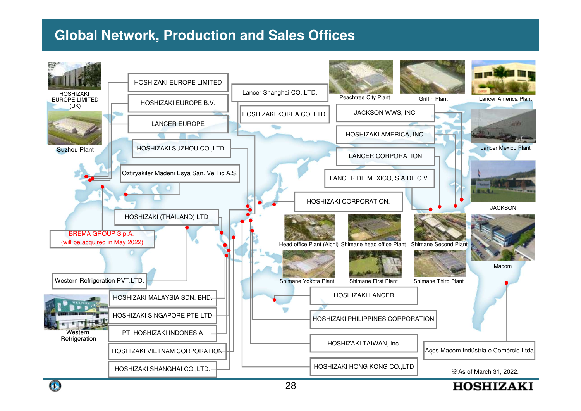## **Global Network, Production and Sales Offices**



Œ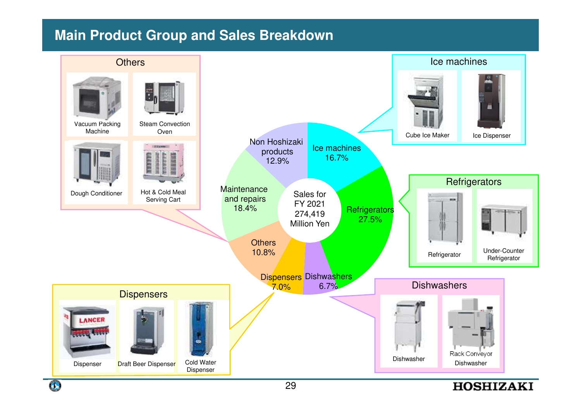### **Main Product Group and Sales Breakdown**



Œ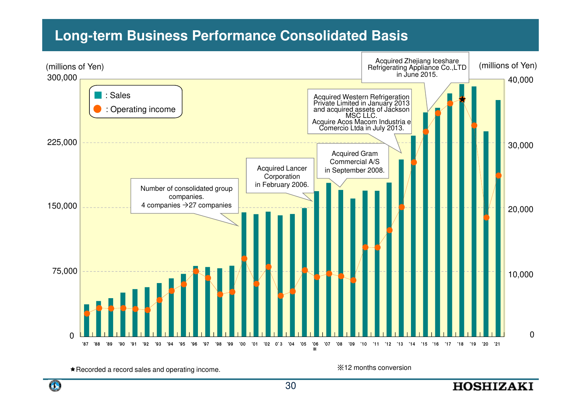### **Long-term Business Performance Consolidated Basis**



\* Recorded a record sales and operating income.

※12 months conversion